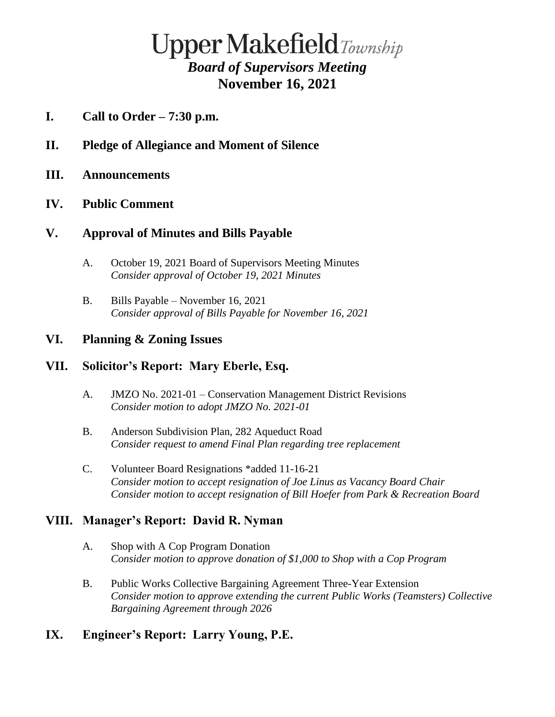# **Upper Makefield**Township *Board of Supervisors Meeting* **November 16, 2021**

- **I. Call to Order – 7:30 p.m.**
- **II. Pledge of Allegiance and Moment of Silence**
- **III. Announcements**

## **IV. Public Comment**

## **V. Approval of Minutes and Bills Payable**

- A. October 19, 2021 Board of Supervisors Meeting Minutes *Consider approval of October 19, 2021 Minutes*
- B. Bills Payable November 16, 2021 *Consider approval of Bills Payable for November 16, 2021*

## **VI. Planning & Zoning Issues**

## **VII. Solicitor's Report: Mary Eberle, Esq.**

- A. JMZO No. 2021-01 Conservation Management District Revisions *Consider motion to adopt JMZO No. 2021-01*
- B. Anderson Subdivision Plan, 282 Aqueduct Road *Consider request to amend Final Plan regarding tree replacement*
- C. Volunteer Board Resignations \*added 11-16-21 *Consider motion to accept resignation of Joe Linus as Vacancy Board Chair Consider motion to accept resignation of Bill Hoefer from Park & Recreation Board*

## **VIII. Manager's Report: David R. Nyman**

- A. Shop with A Cop Program Donation *Consider motion to approve donation of \$1,000 to Shop with a Cop Program*
- B. Public Works Collective Bargaining Agreement Three-Year Extension *Consider motion to approve extending the current Public Works (Teamsters) Collective Bargaining Agreement through 2026*

## **IX. Engineer's Report: Larry Young, P.E.**